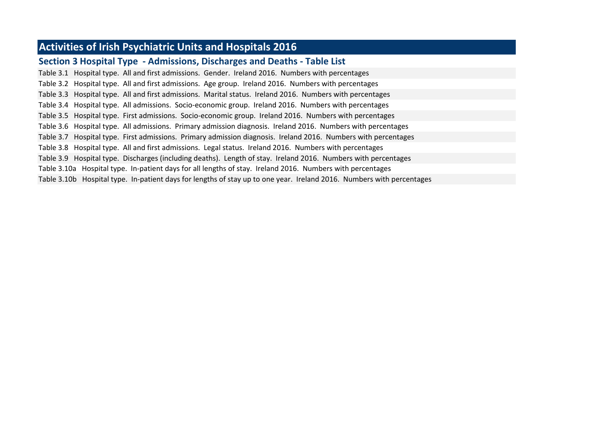# **Activities of Irish Psychiatric Units and Hospitals 2016**

## **Section 3 Hospital Type - Admissions, Discharges and Deaths - Table List**

Table 3.1 Hospital type. All and first admissions. Gender. Ireland 2016. Numbers with percentages Table 3.2 Hospital type. All and first admissions. Age group. Ireland 2016. Numbers with percentages Table 3.3 Hospital type. All and first admissions. Marital status. Ireland 2016. Numbers with percentages Table 3.4 Hospital type. All admissions. Socio-economic group. Ireland 2016. Numbers with percentages Table 3.5 Hospital type. First admissions. Socio-economic group. Ireland 2016. Numbers with percentages Table 3.6 Hospital type. All admissions. Primary admission diagnosis. Ireland 2016. Numbers with percentages Table 3.7 Hospital type. First admissions. Primary admission diagnosis. Ireland 2016. Numbers with percentages Table 3.8 Hospital type. All and first admissions. Legal status. Ireland 2016. Numbers with percentages Table 3.9 Hospital type. Discharges (including deaths). Length of stay. Ireland 2016. Numbers with percentages Table 3.10a Hospital type. In-patient days for all lengths of stay. Ireland 2016. Numbers with percentages Table 3.10b Hospital type. In-patient days for lengths of stay up to one year. Ireland 2016. Numbers with percentages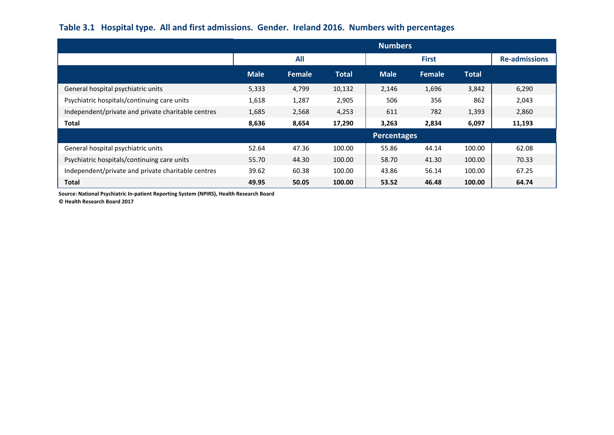## **Table 3.1 Hospital type. All and first admissions. Gender. Ireland 2016. Numbers with percentages**

|                                                    | <b>Numbers</b> |        |              |             |               |              |                      |  |  |
|----------------------------------------------------|----------------|--------|--------------|-------------|---------------|--------------|----------------------|--|--|
|                                                    |                | All    |              |             | <b>First</b>  |              | <b>Re-admissions</b> |  |  |
|                                                    | <b>Male</b>    | Female | <b>Total</b> | <b>Male</b> | <b>Female</b> | <b>Total</b> |                      |  |  |
| General hospital psychiatric units                 | 5,333          | 4,799  | 10,132       | 2,146       | 1,696         | 3,842        | 6,290                |  |  |
| Psychiatric hospitals/continuing care units        | 1,618          | 1,287  | 2,905        | 506         | 356           | 862          | 2,043                |  |  |
| Independent/private and private charitable centres | 1,685          | 2,568  | 4,253        | 611         | 782           | 1,393        | 2,860                |  |  |
| <b>Total</b>                                       | 8,636          | 8,654  | 17,290       | 3,263       | 2,834         | 6,097        | 11,193               |  |  |
|                                                    |                |        |              | Percentages |               |              |                      |  |  |
| General hospital psychiatric units                 | 52.64          | 47.36  | 100.00       | 55.86       | 44.14         | 100.00       | 62.08                |  |  |
| Psychiatric hospitals/continuing care units        | 55.70          | 44.30  | 100.00       | 58.70       | 41.30         | 100.00       | 70.33                |  |  |
| Independent/private and private charitable centres | 39.62          | 60.38  | 100.00       | 43.86       | 56.14         | 100.00       | 67.25                |  |  |
| <b>Total</b>                                       | 49.95          | 50.05  | 100.00       | 53.52       | 46.48         | 100.00       | 64.74                |  |  |

**Source: National Psychiatric In-patient Reporting System (NPIRS), Health Research Board**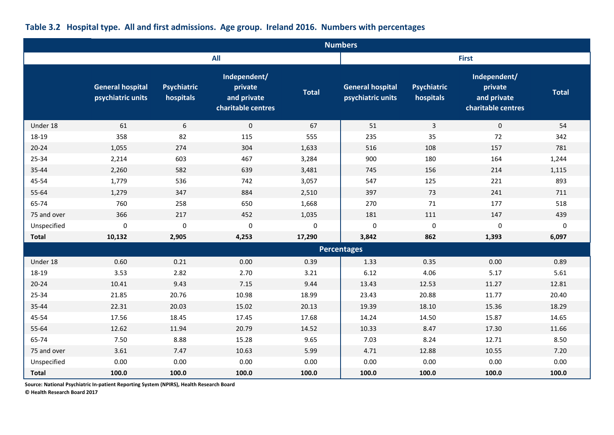|              | <b>Numbers</b>                               |                                 |                                                              |              |                                              |                                 |                                                              |              |  |  |  |
|--------------|----------------------------------------------|---------------------------------|--------------------------------------------------------------|--------------|----------------------------------------------|---------------------------------|--------------------------------------------------------------|--------------|--|--|--|
|              |                                              |                                 | <b>All</b>                                                   |              |                                              |                                 | <b>First</b>                                                 |              |  |  |  |
|              | <b>General hospital</b><br>psychiatric units | <b>Psychiatric</b><br>hospitals | Independent/<br>private<br>and private<br>charitable centres | <b>Total</b> | <b>General hospital</b><br>psychiatric units | <b>Psychiatric</b><br>hospitals | Independent/<br>private<br>and private<br>charitable centres | <b>Total</b> |  |  |  |
| Under 18     | 61                                           | 6                               | $\mathbf{0}$                                                 | 67           | 51                                           | $\mathbf{3}$                    | $\mathbf{0}$                                                 | 54           |  |  |  |
| 18-19        | 358                                          | 82                              | 115                                                          | 555          | 235                                          | 35                              | 72                                                           | 342          |  |  |  |
| $20 - 24$    | 1,055                                        | 274                             | 304                                                          | 1,633        | 516                                          | 108                             | 157                                                          | 781          |  |  |  |
| 25-34        | 2,214                                        | 603                             | 467                                                          | 3,284        | 900                                          | 180                             | 164                                                          | 1,244        |  |  |  |
| 35-44        | 2,260                                        | 582                             | 639                                                          | 3,481        | 745                                          | 156                             | 214                                                          | 1,115        |  |  |  |
| 45-54        | 1,779                                        | 536                             | 742                                                          | 3,057        | 547                                          | 125                             | 221                                                          | 893          |  |  |  |
| 55-64        | 1,279                                        | 347                             | 884                                                          | 2,510        | 397                                          | 73                              | 241                                                          | 711          |  |  |  |
| 65-74        | 760                                          | 258                             | 650                                                          | 1,668        | 270                                          | 71                              | 177                                                          | 518          |  |  |  |
| 75 and over  | 366                                          | 217                             | 452                                                          | 1,035        | 181                                          | 111                             | 147                                                          | 439          |  |  |  |
| Unspecified  | $\mathbf 0$                                  | $\pmb{0}$                       | $\pmb{0}$                                                    | 0            | $\mathbf 0$                                  | $\boldsymbol{0}$                | 0                                                            | 0            |  |  |  |
| <b>Total</b> | 10,132                                       | 2,905                           | 4,253                                                        | 17,290       | 3,842                                        | 862                             | 1,393                                                        | 6,097        |  |  |  |
|              |                                              |                                 |                                                              |              | <b>Percentages</b>                           |                                 |                                                              |              |  |  |  |
| Under 18     | 0.60                                         | 0.21                            | 0.00                                                         | 0.39         | 1.33                                         | 0.35                            | 0.00                                                         | 0.89         |  |  |  |
| 18-19        | 3.53                                         | 2.82                            | 2.70                                                         | 3.21         | 6.12                                         | 4.06                            | 5.17                                                         | 5.61         |  |  |  |
| $20 - 24$    | 10.41                                        | 9.43                            | 7.15                                                         | 9.44         | 13.43                                        | 12.53                           | 11.27                                                        | 12.81        |  |  |  |
| 25-34        | 21.85                                        | 20.76                           | 10.98                                                        | 18.99        | 23.43                                        | 20.88                           | 11.77                                                        | 20.40        |  |  |  |
| 35-44        | 22.31                                        | 20.03                           | 15.02                                                        | 20.13        | 19.39                                        | 18.10                           | 15.36                                                        | 18.29        |  |  |  |
| 45-54        | 17.56                                        | 18.45                           | 17.45                                                        | 17.68        | 14.24                                        | 14.50                           | 15.87                                                        | 14.65        |  |  |  |
| 55-64        | 12.62                                        | 11.94                           | 20.79                                                        | 14.52        | 10.33                                        | 8.47                            | 17.30                                                        | 11.66        |  |  |  |
| 65-74        | 7.50                                         | 8.88                            | 15.28                                                        | 9.65         | 7.03                                         | 8.24                            | 12.71                                                        | 8.50         |  |  |  |
| 75 and over  | 3.61                                         | 7.47                            | 10.63                                                        | 5.99         | 4.71                                         | 12.88                           | 10.55                                                        | 7.20         |  |  |  |
| Unspecified  | 0.00                                         | 0.00                            | 0.00                                                         | 0.00         | 0.00                                         | 0.00                            | 0.00                                                         | 0.00         |  |  |  |
| <b>Total</b> | 100.0                                        | 100.0                           | 100.0                                                        | 100.0        | 100.0                                        | 100.0                           | 100.0                                                        | 100.0        |  |  |  |

# **Table 3.2 Hospital type. All and first admissions. Age group. Ireland 2016. Numbers with percentages**

**Source: National Psychiatric In-patient Reporting System (NPIRS), Health Research Board**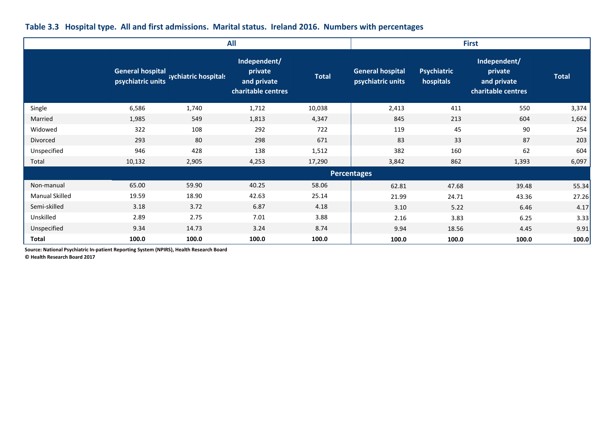|  |  |  |  |  | Table 3.3 Hospital type. All and first admissions. Marital status. Ireland 2016. Numbers with percentages |
|--|--|--|--|--|-----------------------------------------------------------------------------------------------------------|
|--|--|--|--|--|-----------------------------------------------------------------------------------------------------------|

|                       |                                              |                      | <b>All</b>                                                   | <b>First</b> |                                              |                                 |                                                              |              |  |
|-----------------------|----------------------------------------------|----------------------|--------------------------------------------------------------|--------------|----------------------------------------------|---------------------------------|--------------------------------------------------------------|--------------|--|
|                       | <b>General hospital</b><br>psychiatric units | sychiatric hospitals | Independent/<br>private<br>and private<br>charitable centres | <b>Total</b> | <b>General hospital</b><br>psychiatric units | <b>Psychiatric</b><br>hospitals | Independent/<br>private<br>and private<br>charitable centres | <b>Total</b> |  |
| Single                | 6,586                                        | 1,740                | 1,712                                                        | 10,038       | 2,413                                        | 411                             | 550                                                          | 3,374        |  |
| Married               | 1,985                                        | 549                  | 1,813                                                        | 4,347        | 845                                          | 213                             | 604                                                          | 1,662        |  |
| Widowed               | 322                                          | 108                  | 292                                                          | 722          | 119                                          | 45                              | 90                                                           | 254          |  |
| Divorced              | 293                                          | 80                   | 298                                                          | 671          | 83                                           | 33                              | 87                                                           | 203          |  |
| Unspecified           | 946                                          | 428                  | 138                                                          | 1,512        | 382                                          | 160                             | 62                                                           | 604          |  |
| Total                 | 10,132                                       | 2,905                | 4,253                                                        | 17,290       | 3,842                                        | 862                             | 1,393                                                        | 6,097        |  |
|                       |                                              |                      |                                                              |              | <b>Percentages</b>                           |                                 |                                                              |              |  |
| Non-manual            | 65.00                                        | 59.90                | 40.25                                                        | 58.06        | 62.81                                        | 47.68                           | 39.48                                                        | 55.34        |  |
| <b>Manual Skilled</b> | 19.59                                        | 18.90                | 42.63                                                        | 25.14        | 21.99                                        | 24.71                           | 43.36                                                        | 27.26        |  |
| Semi-skilled          | 3.18                                         | 3.72                 | 6.87                                                         | 4.18         | 3.10                                         | 5.22                            | 6.46                                                         | 4.17         |  |
| Unskilled             | 2.89                                         | 2.75                 | 7.01                                                         | 3.88         | 2.16                                         | 3.83                            | 6.25                                                         | 3.33         |  |
| Unspecified           | 9.34                                         | 14.73                | 3.24                                                         | 8.74         | 9.94                                         | 18.56                           | 4.45                                                         | 9.91         |  |
| Total                 | 100.0                                        | 100.0                | 100.0                                                        | 100.0        | 100.0                                        | 100.0                           | 100.0                                                        | 100.0        |  |

**Source: National Psychiatric In-patient Reporting System (NPIRS), Health Research Board**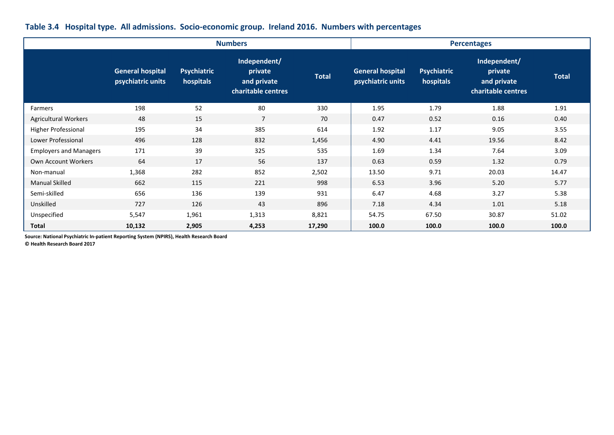|                               |                                              |                                 | <b>Numbers</b>                                               |              |                                              | <b>Percentages</b>       |                                                              |              |
|-------------------------------|----------------------------------------------|---------------------------------|--------------------------------------------------------------|--------------|----------------------------------------------|--------------------------|--------------------------------------------------------------|--------------|
|                               | <b>General hospital</b><br>psychiatric units | <b>Psychiatric</b><br>hospitals | Independent/<br>private<br>and private<br>charitable centres | <b>Total</b> | <b>General hospital</b><br>psychiatric units | Psychiatric<br>hospitals | Independent/<br>private<br>and private<br>charitable centres | <b>Total</b> |
| Farmers                       | 198                                          | 52                              | 80                                                           | 330          | 1.95                                         | 1.79                     | 1.88                                                         | 1.91         |
| <b>Agricultural Workers</b>   | 48                                           | 15                              | $\overline{7}$                                               | 70           | 0.47                                         | 0.52                     | 0.16                                                         | 0.40         |
| Higher Professional           | 195                                          | 34                              | 385                                                          | 614          | 1.92                                         | 1.17                     | 9.05                                                         | 3.55         |
| Lower Professional            | 496                                          | 128                             | 832                                                          | 1,456        | 4.90                                         | 4.41                     | 19.56                                                        | 8.42         |
| <b>Employers and Managers</b> | 171                                          | 39                              | 325                                                          | 535          | 1.69                                         | 1.34                     | 7.64                                                         | 3.09         |
| Own Account Workers           | 64                                           | 17                              | 56                                                           | 137          | 0.63                                         | 0.59                     | 1.32                                                         | 0.79         |
| Non-manual                    | 1,368                                        | 282                             | 852                                                          | 2,502        | 13.50                                        | 9.71                     | 20.03                                                        | 14.47        |
| <b>Manual Skilled</b>         | 662                                          | 115                             | 221                                                          | 998          | 6.53                                         | 3.96                     | 5.20                                                         | 5.77         |
| Semi-skilled                  | 656                                          | 136                             | 139                                                          | 931          | 6.47                                         | 4.68                     | 3.27                                                         | 5.38         |
| Unskilled                     | 727                                          | 126                             | 43                                                           | 896          | 7.18                                         | 4.34                     | 1.01                                                         | 5.18         |
| Unspecified                   | 5,547                                        | 1,961                           | 1,313                                                        | 8,821        | 54.75                                        | 67.50                    | 30.87                                                        | 51.02        |
| <b>Total</b>                  | 10,132                                       | 2,905                           | 4,253                                                        | 17,290       | 100.0                                        | 100.0                    | 100.0                                                        | 100.0        |

### **Table 3.4 Hospital type. All admissions. Socio-economic group. Ireland 2016. Numbers with percentages**

**Source: National Psychiatric In-patient Reporting System (NPIRS), Health Research Board**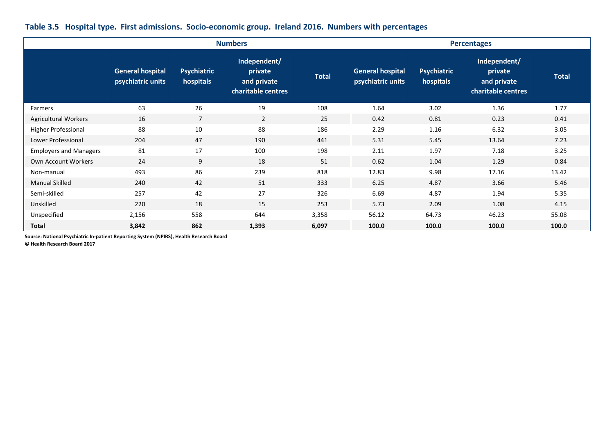|                               |                                              |                                 | <b>Numbers</b>                                               |              | <b>Percentages</b>                           |                                 |                                                              |              |  |  |
|-------------------------------|----------------------------------------------|---------------------------------|--------------------------------------------------------------|--------------|----------------------------------------------|---------------------------------|--------------------------------------------------------------|--------------|--|--|
|                               | <b>General hospital</b><br>psychiatric units | <b>Psychiatric</b><br>hospitals | Independent/<br>private<br>and private<br>charitable centres | <b>Total</b> | <b>General hospital</b><br>psychiatric units | <b>Psychiatric</b><br>hospitals | Independent/<br>private<br>and private<br>charitable centres | <b>Total</b> |  |  |
| Farmers                       | 63                                           | 26                              | 19                                                           | 108          | 1.64                                         | 3.02                            | 1.36                                                         | 1.77         |  |  |
| <b>Agricultural Workers</b>   | 16                                           | $\overline{7}$                  | 2                                                            | 25           | 0.42                                         | 0.81                            | 0.23                                                         | 0.41         |  |  |
| <b>Higher Professional</b>    | 88                                           | 10                              | 88                                                           | 186          | 2.29                                         | 1.16                            | 6.32                                                         | 3.05         |  |  |
| Lower Professional            | 204                                          | 47                              | 190                                                          | 441          | 5.31                                         | 5.45                            | 13.64                                                        | 7.23         |  |  |
| <b>Employers and Managers</b> | 81                                           | 17                              | 100                                                          | 198          | 2.11                                         | 1.97                            | 7.18                                                         | 3.25         |  |  |
| Own Account Workers           | 24                                           | 9                               | 18                                                           | 51           | 0.62                                         | 1.04                            | 1.29                                                         | 0.84         |  |  |
| Non-manual                    | 493                                          | 86                              | 239                                                          | 818          | 12.83                                        | 9.98                            | 17.16                                                        | 13.42        |  |  |
| <b>Manual Skilled</b>         | 240                                          | 42                              | 51                                                           | 333          | 6.25                                         | 4.87                            | 3.66                                                         | 5.46         |  |  |
| Semi-skilled                  | 257                                          | 42                              | 27                                                           | 326          | 6.69                                         | 4.87                            | 1.94                                                         | 5.35         |  |  |
| Unskilled                     | 220                                          | 18                              | 15                                                           | 253          | 5.73                                         | 2.09                            | 1.08                                                         | 4.15         |  |  |
| Unspecified                   | 2,156                                        | 558                             | 644                                                          | 3,358        | 56.12                                        | 64.73                           | 46.23                                                        | 55.08        |  |  |
| <b>Total</b>                  | 3,842                                        | 862                             | 1,393                                                        | 6,097        | 100.0                                        | 100.0                           | 100.0                                                        | 100.0        |  |  |

### **Table 3.5 Hospital type. First admissions. Socio-economic group. Ireland 2016. Numbers with percentages**

**Source: National Psychiatric In-patient Reporting System (NPIRS), Health Research Board**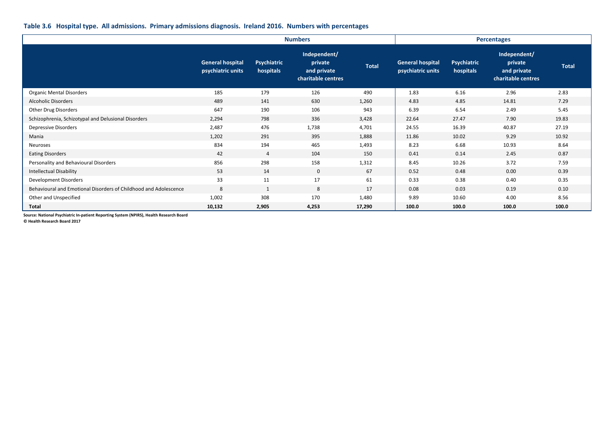#### **Table 3.6 Hospital type. All admissions. Primary admissions diagnosis. Ireland 2016. Numbers with percentages**

|                                                                  |                                              |                                 | <b>Numbers</b>                                               | <b>Percentages</b> |                                              |                          |                                                              |              |
|------------------------------------------------------------------|----------------------------------------------|---------------------------------|--------------------------------------------------------------|--------------------|----------------------------------------------|--------------------------|--------------------------------------------------------------|--------------|
|                                                                  | <b>General hospital</b><br>psychiatric units | <b>Psychiatric</b><br>hospitals | Independent/<br>private<br>and private<br>charitable centres | <b>Total</b>       | <b>General hospital</b><br>psychiatric units | Psychiatric<br>hospitals | Independent/<br>private<br>and private<br>charitable centres | <b>Total</b> |
| <b>Organic Mental Disorders</b>                                  | 185                                          | 179                             | 126                                                          | 490                | 1.83                                         | 6.16                     | 2.96                                                         | 2.83         |
| <b>Alcoholic Disorders</b>                                       | 489                                          | 141                             | 630                                                          | 1,260              | 4.83                                         | 4.85                     | 14.81                                                        | 7.29         |
| Other Drug Disorders                                             | 647                                          | 190                             | 106                                                          | 943                | 6.39                                         | 6.54                     | 2.49                                                         | 5.45         |
| Schizophrenia, Schizotypal and Delusional Disorders              | 2,294                                        | 798                             | 336                                                          | 3,428              | 22.64                                        | 27.47                    | 7.90                                                         | 19.83        |
| Depressive Disorders                                             | 2,487                                        | 476                             | 1,738                                                        | 4,701              | 24.55                                        | 16.39                    | 40.87                                                        | 27.19        |
| Mania                                                            | 1,202                                        | 291                             | 395                                                          | 1,888              | 11.86                                        | 10.02                    | 9.29                                                         | 10.92        |
| Neuroses                                                         | 834                                          | 194                             | 465                                                          | 1,493              | 8.23                                         | 6.68                     | 10.93                                                        | 8.64         |
| <b>Eating Disorders</b>                                          | 42                                           | 4                               | 104                                                          | 150                | 0.41                                         | 0.14                     | 2.45                                                         | 0.87         |
| Personality and Behavioural Disorders                            | 856                                          | 298                             | 158                                                          | 1,312              | 8.45                                         | 10.26                    | 3.72                                                         | 7.59         |
| <b>Intellectual Disability</b>                                   | 53                                           | 14                              | $\mathbf{0}$                                                 | 67                 | 0.52                                         | 0.48                     | 0.00                                                         | 0.39         |
| Development Disorders                                            | 33                                           | 11                              | 17                                                           | 61                 | 0.33                                         | 0.38                     | 0.40                                                         | 0.35         |
| Behavioural and Emotional Disorders of Childhood and Adolescence | 8                                            | 1                               | 8                                                            | 17                 | 0.08                                         | 0.03                     | 0.19                                                         | 0.10         |
| Other and Unspecified                                            | 1,002                                        | 308                             | 170                                                          | 1,480              | 9.89                                         | 10.60                    | 4.00                                                         | 8.56         |
| <b>Total</b>                                                     | 10,132                                       | 2,905                           | 4,253                                                        | 17,290             | 100.0                                        | 100.0                    | 100.0                                                        | 100.0        |

**Source: National Psychiatric In-patient Reporting System (NPIRS), Health Research Board**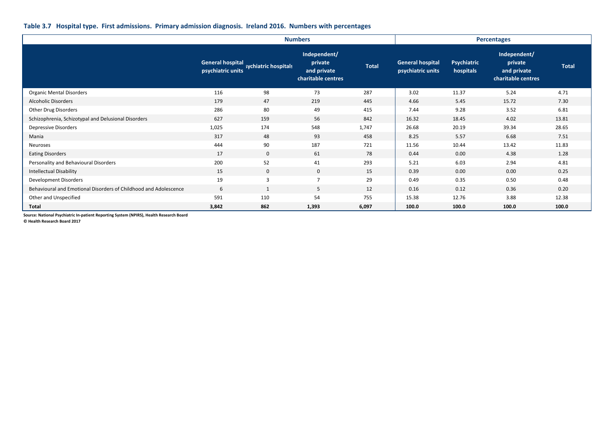#### **Table 3.7 Hospital type. First admissions. Primary admission diagnosis. Ireland 2016. Numbers with percentages**

|                                                                  |                                              |                      | <b>Numbers</b>                                               | <b>Percentages</b> |                                       |                                 |                                                              |              |
|------------------------------------------------------------------|----------------------------------------------|----------------------|--------------------------------------------------------------|--------------------|---------------------------------------|---------------------------------|--------------------------------------------------------------|--------------|
|                                                                  | <b>General hospital</b><br>psychiatric units | sychiatric hospitals | Independent/<br>private<br>and private<br>charitable centres | <b>Total</b>       | General hospital<br>psychiatric units | <b>Psychiatric</b><br>hospitals | Independent/<br>private<br>and private<br>charitable centres | <b>Total</b> |
| <b>Organic Mental Disorders</b>                                  | 116                                          | 98                   | 73                                                           | 287                | 3.02                                  | 11.37                           | 5.24                                                         | 4.71         |
| <b>Alcoholic Disorders</b>                                       | 179                                          | 47                   | 219                                                          | 445                | 4.66                                  | 5.45                            | 15.72                                                        | 7.30         |
| Other Drug Disorders                                             | 286                                          | 80                   | 49                                                           | 415                | 7.44                                  | 9.28                            | 3.52                                                         | 6.81         |
| Schizophrenia, Schizotypal and Delusional Disorders              | 627                                          | 159                  | 56                                                           | 842                | 16.32                                 | 18.45                           | 4.02                                                         | 13.81        |
| Depressive Disorders                                             | 1,025                                        | 174                  | 548                                                          | 1,747              | 26.68                                 | 20.19                           | 39.34                                                        | 28.65        |
| Mania                                                            | 317                                          | 48                   | 93                                                           | 458                | 8.25                                  | 5.57                            | 6.68                                                         | 7.51         |
| Neuroses                                                         | 444                                          | 90                   | 187                                                          | 721                | 11.56                                 | 10.44                           | 13.42                                                        | 11.83        |
| <b>Eating Disorders</b>                                          | 17                                           | $\mathbf 0$          | 61                                                           | 78                 | 0.44                                  | 0.00                            | 4.38                                                         | 1.28         |
| Personality and Behavioural Disorders                            | 200                                          | 52                   | 41                                                           | 293                | 5.21                                  | 6.03                            | 2.94                                                         | 4.81         |
| <b>Intellectual Disability</b>                                   | 15                                           | $\mathbf 0$          | $\mathbf 0$                                                  | 15                 | 0.39                                  | 0.00                            | 0.00                                                         | 0.25         |
| Development Disorders                                            | 19                                           | $\overline{3}$       | 7                                                            | 29                 | 0.49                                  | 0.35                            | 0.50                                                         | 0.48         |
| Behavioural and Emotional Disorders of Childhood and Adolescence | 6                                            | $\mathbf{1}$         | 5                                                            | 12                 | 0.16                                  | 0.12                            | 0.36                                                         | 0.20         |
| Other and Unspecified                                            | 591                                          | 110                  | 54                                                           | 755                | 15.38                                 | 12.76                           | 3.88                                                         | 12.38        |
| <b>Total</b>                                                     | 3,842                                        | 862                  | 1,393                                                        | 6,097              | 100.0                                 | 100.0                           | 100.0                                                        | 100.0        |

**Source: National Psychiatric In-patient Reporting System (NPIRS), Health Research Board**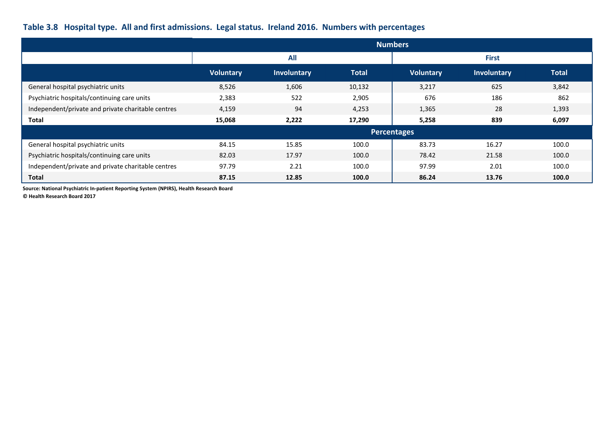# **Table 3.8 Hospital type. All and first admissions. Legal status. Ireland 2016. Numbers with percentages**

|                                                    |                  | <b>Numbers</b> |              |                  |             |              |  |  |  |  |  |
|----------------------------------------------------|------------------|----------------|--------------|------------------|-------------|--------------|--|--|--|--|--|
|                                                    |                  | <b>All</b>     |              | <b>First</b>     |             |              |  |  |  |  |  |
|                                                    | <b>Voluntary</b> | Involuntary    | <b>Total</b> | <b>Voluntary</b> | Involuntary | <b>Total</b> |  |  |  |  |  |
| General hospital psychiatric units                 | 8,526            | 1,606          | 10,132       | 3,217            | 625         | 3,842        |  |  |  |  |  |
| Psychiatric hospitals/continuing care units        | 2,383            | 522            | 2,905        | 676              | 186         | 862          |  |  |  |  |  |
| Independent/private and private charitable centres | 4,159            | 94             | 4,253        | 1,365            | 28          | 1,393        |  |  |  |  |  |
| <b>Total</b>                                       | 15,068           | 2,222          | 17,290       | 5,258            | 839         | 6,097        |  |  |  |  |  |
|                                                    |                  |                |              | Percentages      |             |              |  |  |  |  |  |
| General hospital psychiatric units                 | 84.15            | 15.85          | 100.0        | 83.73            | 16.27       | 100.0        |  |  |  |  |  |
| Psychiatric hospitals/continuing care units        | 82.03            | 17.97          | 100.0        | 78.42            | 21.58       | 100.0        |  |  |  |  |  |
| Independent/private and private charitable centres | 97.79            | 2.21           | 100.0        | 97.99            | 2.01        | 100.0        |  |  |  |  |  |
| <b>Total</b>                                       | 87.15            | 12.85          | 100.0        | 86.24            | 13.76       | 100.0        |  |  |  |  |  |

**Source: National Psychiatric In-patient Reporting System (NPIRS), Health Research Board**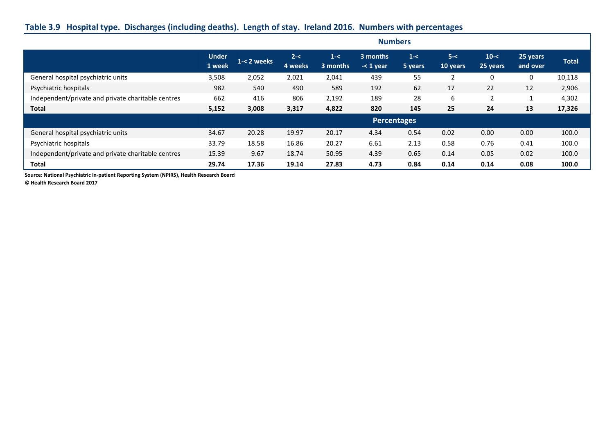## **Table 3.9 Hospital type. Discharges (including deaths). Length of stay. Ireland 2016. Numbers with percentages**

|                                                    | <b>Numbers</b>         |                |                    |                     |                           |                    |                     |                      |                      |              |
|----------------------------------------------------|------------------------|----------------|--------------------|---------------------|---------------------------|--------------------|---------------------|----------------------|----------------------|--------------|
|                                                    | <b>Under</b><br>1 week | $1 - 2$ weeks. | $2 - <$<br>4 weeks | $1 - <$<br>3 months | 3 months<br>$\sim$ 1 year | $1 - <$<br>5 years | $5 - <$<br>10 years | $10 - <$<br>25 years | 25 years<br>and over | <b>Total</b> |
| General hospital psychiatric units                 | 3,508                  | 2,052          | 2,021              | 2,041               | 439                       | 55                 | 2                   | $\Omega$             | 0                    | 10,118       |
| Psychiatric hospitals                              | 982                    | 540            | 490                | 589                 | 192                       | 62                 | 17                  | 22                   | 12                   | 2,906        |
| Independent/private and private charitable centres | 662                    | 416            | 806                | 2,192               | 189                       | 28                 | 6                   | $\overline{2}$       |                      | 4,302        |
| <b>Total</b>                                       | 5,152                  | 3,008          | 3,317              | 4,822               | 820                       | 145                | 25                  | 24                   | 13                   | 17,326       |
|                                                    |                        |                |                    |                     | <b>Percentages</b>        |                    |                     |                      |                      |              |
| General hospital psychiatric units                 | 34.67                  | 20.28          | 19.97              | 20.17               | 4.34                      | 0.54               | 0.02                | 0.00                 | 0.00                 | 100.0        |
| Psychiatric hospitals                              | 33.79                  | 18.58          | 16.86              | 20.27               | 6.61                      | 2.13               | 0.58                | 0.76                 | 0.41                 | 100.0        |
| Independent/private and private charitable centres | 15.39                  | 9.67           | 18.74              | 50.95               | 4.39                      | 0.65               | 0.14                | 0.05                 | 0.02                 | 100.0        |
| <b>Total</b>                                       | 29.74                  | 17.36          | 19.14              | 27.83               | 4.73                      | 0.84               | 0.14                | 0.14                 | 0.08                 | 100.0        |

**Source: National Psychiatric In-patient Reporting System (NPIRS), Health Research Board**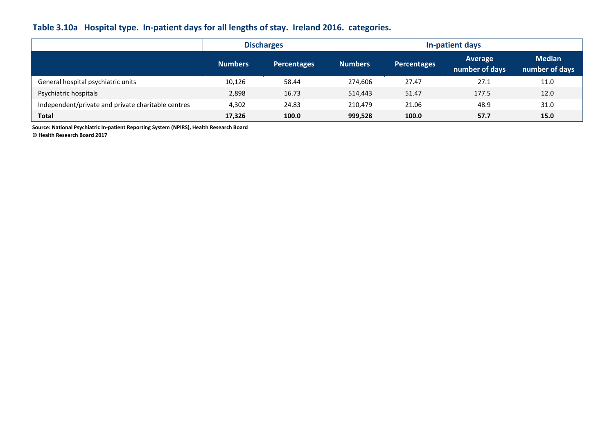## **Table 3.10a Hospital type. In-patient days for all lengths of stay. Ireland 2016. categories.**

|                                                    |                | <b>Discharges</b>  | In-patient days |                    |                           |                                 |  |  |
|----------------------------------------------------|----------------|--------------------|-----------------|--------------------|---------------------------|---------------------------------|--|--|
|                                                    | <b>Numbers</b> | <b>Percentages</b> | <b>Numbers</b>  | <b>Percentages</b> | Average<br>number of days | <b>Median</b><br>number of days |  |  |
| General hospital psychiatric units                 | 10,126         | 58.44              | 274.606         | 27.47              | 27.1                      | 11.0                            |  |  |
| Psychiatric hospitals                              | 2,898          | 16.73              | 514,443         | 51.47              | 177.5                     | 12.0                            |  |  |
| Independent/private and private charitable centres | 4,302          | 24.83              | 210,479         | 21.06              | 48.9                      | 31.0                            |  |  |
| Total                                              | 17,326         | 100.0              | 999,528         | 100.0              | 57.7                      | 15.0                            |  |  |

**Source: National Psychiatric In-patient Reporting System (NPIRS), Health Research Board**